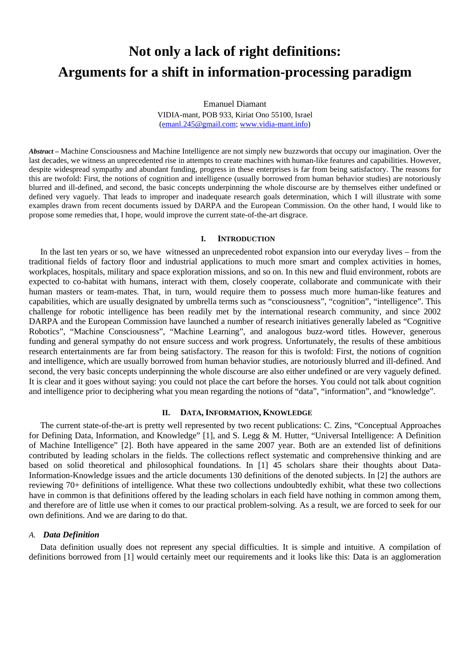# **Not only a lack of right definitions: Arguments for a shift in information-processing paradigm**

Emanuel Diamant VIDIA-mant, POB 933, Kiriat Ono 55100, Israel [\(emanl.245@gmail.com;](mailto:emanl.245@gmail.com) [www.vidia-mant.info](http://www.vidia-mant.info/))

*Abstract –* Machine Consciousness and Machine Intelligence are not simply new buzzwords that occupy our imagination. Over the last decades, we witness an unprecedented rise in attempts to create machines with human-like features and capabilities. However, despite widespread sympathy and abundant funding, progress in these enterprises is far from being satisfactory. The reasons for this are twofold: First, the notions of cognition and intelligence (usually borrowed from human behavior studies) are notoriously blurred and ill-defined, and second, the basic concepts underpinning the whole discourse are by themselves either undefined or defined very vaguely. That leads to improper and inadequate research goals determination, which I will illustrate with some examples drawn from recent documents issued by DARPA and the European Commission. On the other hand, I would like to propose some remedies that, I hope, would improve the current state-of-the-art disgrace.

### **I. INTRODUCTION**

In the last ten years or so, we have witnessed an unprecedented robot expansion into our everyday lives – from the traditional fields of factory floor and industrial applications to much more smart and complex activities in homes, workplaces, hospitals, military and space exploration missions, and so on. In this new and fluid environment, robots are expected to co-habitat with humans, interact with them, closely cooperate, collaborate and communicate with their human masters or team-mates. That, in turn, would require them to possess much more human-like features and capabilities, which are usually designated by umbrella terms such as "consciousness", "cognition", "intelligence". This challenge for robotic intelligence has been readily met by the international research community, and since 2002 DARPA and the European Commission have launched a number of research initiatives generally labeled as "Cognitive Robotics", "Machine Consciousness", "Machine Learning", and analogous buzz-word titles. However, generous funding and general sympathy do not ensure success and work progress. Unfortunately, the results of these ambitious research entertainments are far from being satisfactory. The reason for this is twofold: First, the notions of cognition and intelligence, which are usually borrowed from human behavior studies, are notoriously blurred and ill-defined. And second, the very basic concepts underpinning the whole discourse are also either undefined or are very vaguely defined. It is clear and it goes without saying: you could not place the cart before the horses. You could not talk about cognition and intelligence prior to deciphering what you mean regarding the notions of "data", "information", and "knowledge".

#### **II. DATA, INFORMATION, KNOWLEDGE**

The current state-of-the-art is pretty well represented by two recent publications: C. Zins, "Conceptual Approaches for Defining Data, Information, and Knowledge" [1], and S. Legg & M. Hutter, "Universal Intelligence: A Definition of Machine Intelligence" [2]. Both have appeared in the same 2007 year. Both are an extended list of definitions contributed by leading scholars in the fields. The collections reflect systematic and comprehensive thinking and are based on solid theoretical and philosophical foundations. In [1] 45 scholars share their thoughts about Data-Information-Knowledge issues and the article documents 130 definitions of the denoted subjects. In [2] the authors are reviewing 70+ definitions of intelligence. What these two collections undoubtedly exhibit, what these two collections have in common is that definitions offered by the leading scholars in each field have nothing in common among them, and therefore are of little use when it comes to our practical problem-solving. As a result, we are forced to seek for our own definitions. And we are daring to do that.

#### *A. Data Definition*

Data definition usually does not represent any special difficulties. It is simple and intuitive. A compilation of definitions borrowed from [1] would certainly meet our requirements and it looks like this: Data is an agglomeration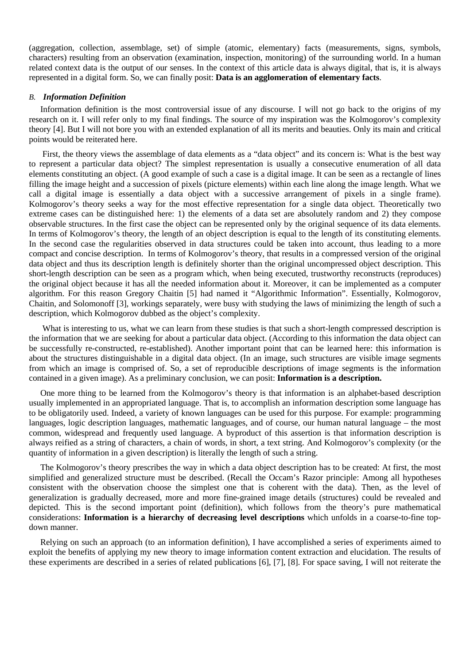(aggregation, collection, assemblage, set) of simple (atomic, elementary) facts (measurements, signs, symbols, characters) resulting from an observation (examination, inspection, monitoring) of the surrounding world. In a human related context data is the output of our senses. In the context of this article data is always digital, that is, it is always represented in a digital form. So, we can finally posit: **Data is an agglomeration of elementary facts**.

## *B. Information Definition*

Information definition is the most controversial issue of any discourse. I will not go back to the origins of my research on it. I will refer only to my final findings. The source of my inspiration was the Kolmogorov's complexity theory [4]. But I will not bore you with an extended explanation of all its merits and beauties. Only its main and critical points would be reiterated here.

First, the theory views the assemblage of data elements as a "data object" and its concern is: What is the best way to represent a particular data object? The simplest representation is usually a consecutive enumeration of all data elements constituting an object. (A good example of such a case is a digital image. It can be seen as a rectangle of lines filling the image height and a succession of pixels (picture elements) within each line along the image length. What we call a digital image is essentially a data object with a successive arrangement of pixels in a single frame). Kolmogorov's theory seeks a way for the most effective representation for a single data object. Theoretically two extreme cases can be distinguished here: 1) the elements of a data set are absolutely random and 2) they compose observable structures. In the first case the object can be represented only by the original sequence of its data elements. In terms of Kolmogorov's theory, the length of an object description is equal to the length of its constituting elements. In the second case the regularities observed in data structures could be taken into account, thus leading to a more compact and concise description. In terms of Kolmogorov's theory, that results in a compressed version of the original data object and thus its description length is definitely shorter than the original uncompressed object description. This short-length description can be seen as a program which, when being executed, trustworthy reconstructs (reproduces) the original object because it has all the needed information about it. Moreover, it can be implemented as a computer algorithm. For this reason Gregory Chaitin [5] had named it "Algorithmic Information". Essentially, Kolmogorov, Chaitin, and Solomonoff [3], workings separately, were busy with studying the laws of minimizing the length of such a description, which Kolmogorov dubbed as the object's complexity.

 What is interesting to us, what we can learn from these studies is that such a short-length compressed description is the information that we are seeking for about a particular data object. (According to this information the data object can be successfully re-constructed, re-established). Another important point that can be learned here: this information is about the structures distinguishable in a digital data object. (In an image, such structures are visible image segments from which an image is comprised of. So, a set of reproducible descriptions of image segments is the information contained in a given image). As a preliminary conclusion, we can posit: **Information is a description.** 

One more thing to be learned from the Kolmogorov's theory is that information is an alphabet-based description usually implemented in an appropriated language. That is, to accomplish an information description some language has to be obligatorily used. Indeed, a variety of known languages can be used for this purpose. For example: programming languages, logic description languages, mathematic languages, and of course, our human natural language – the most common, widespread and frequently used language. A byproduct of this assertion is that information description is always reified as a string of characters, a chain of words, in short, a text string. And Kolmogorov's complexity (or the quantity of information in a given description) is literally the length of such a string.

The Kolmogorov's theory prescribes the way in which a data object description has to be created: At first, the most simplified and generalized structure must be described. (Recall the Occam's Razor principle: Among all hypotheses consistent with the observation choose the simplest one that is coherent with the data). Then, as the level of generalization is gradually decreased, more and more fine-grained image details (structures) could be revealed and depicted. This is the second important point (definition), which follows from the theory's pure mathematical considerations: **Information is a hierarchy of decreasing level descriptions** which unfolds in a coarse-to-fine topdown manner.

Relying on such an approach (to an information definition), I have accomplished a series of experiments aimed to exploit the benefits of applying my new theory to image information content extraction and elucidation. The results of these experiments are described in a series of related publications [6], [7], [8]. For space saving, I will not reiterate the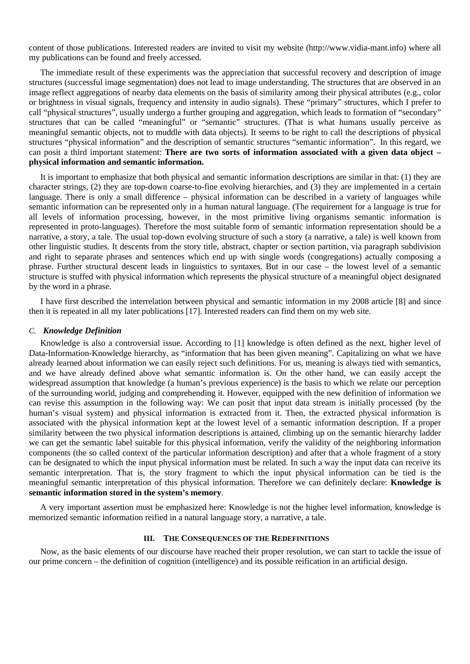content of those publications. Interested readers are invited to visit my website (http://www.vidia-mant.info) where all my publications can be found and freely accessed.

The immediate result of these experiments was the appreciation that successful recovery and description of image structures (successful image segmentation) does not lead to image understanding. The structures that are observed in an image reflect aggregations of nearby data elements on the basis of similarity among their physical attributes (e.g., color or brightness in visual signals, frequency and intensity in audio signals). These "primary" structures, which I prefer to call "physical structures", usually undergo a further grouping and aggregation, which leads to formation of "secondary" structures that can be called "meaningful" or "semantic" structures. (That is what humans usually perceive as meaningful semantic objects, not to muddle with data objects). It seems to be right to call the descriptions of physical structures "physical information" and the description of semantic structures "semantic information". In this regard, we can posit a third important statement: **There are two sorts of information associated with a given data object – physical information and semantic information.**

It is important to emphasize that both physical and semantic information descriptions are similar in that: (1) they are character strings, (2) they are top-down coarse-to-fine evolving hierarchies, and (3) they are implemented in a certain language. There is only a small difference – physical information can be described in a variety of languages while semantic information can be represented only in a human natural language. (The requirement for a language is true for all levels of information processing, however, in the most primitive living organisms semantic information is represented in proto-languages). Therefore the most suitable form of semantic information representation should be a narrative, a story, a tale. The usual top-down evolving structure of such a story (a narrative, a tale) is well known from other linguistic studies. It descents from the story title, abstract, chapter or section partition, via paragraph subdivision and right to separate phrases and sentences which end up with single words (congregations) actually composing a phrase. Further structural descent leads in linguistics to syntaxes. But in our case – the lowest level of a semantic structure is stuffed with physical information which represents the physical structure of a meaningful object designated by the word in a phrase.

I have first described the interrelation between physical and semantic information in my 2008 article [8] and since then it is repeated in all my later publications [17]. Interested readers can find them on my web site.

## *C. Knowledge Definition*

Knowledge is also a controversial issue. According to [1] knowledge is often defined as the next, higher level of Data-Information-Knowledge hierarchy, as "information that has been given meaning". Capitalizing on what we have already learned about information we can easily reject such definitions. For us, meaning is always tied with semantics, and we have already defined above what semantic information is. On the other hand, we can easily accept the widespread assumption that knowledge (a human's previous experience) is the basis to which we relate our perception of the surrounding world, judging and comprehending it. However, equipped with the new definition of information we can revise this assumption in the following way: We can posit that input data stream is initially processed (by the human's visual system) and physical information is extracted from it. Then, the extracted physical information is associated with the physical information kept at the lowest level of a semantic information description. If a proper similarity between the two physical information descriptions is attained, climbing up on the semantic hierarchy ladder we can get the semantic label suitable for this physical information, verify the validity of the neighboring information components (the so called context of the particular information description) and after that a whole fragment of a story can be designated to which the input physical information must be related. In such a way the input data can receive its semantic interpretation. That is, the story fragment to which the input physical information can be tied is the meaningful semantic interpretation of this physical information. Therefore we can definitely declare: **Knowledge is semantic information stored in the system's memory**.

A very important assertion must be emphasized here: Knowledge is not the higher level information, knowledge is memorized semantic information reified in a natural language story, a narrative, a tale.

## **III. THE CONSEQUENCES OF THE REDEFINITIONS**

Now, as the basic elements of our discourse have reached their proper resolution, we can start to tackle the issue of our prime concern – the definition of cognition (intelligence) and its possible reification in an artificial design.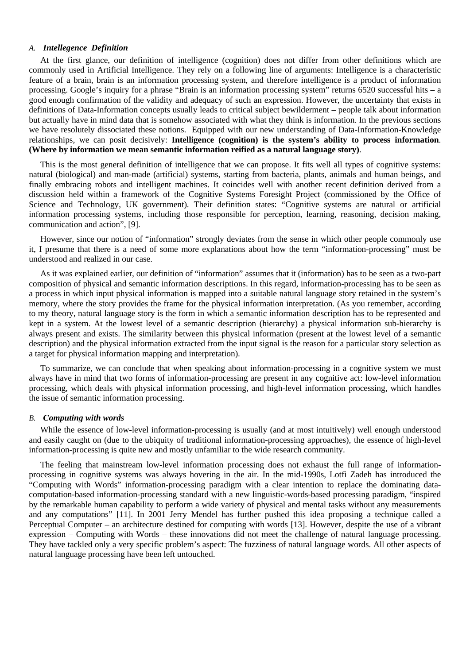# *A. Intellegence Definition*

At the first glance, our definition of intelligence (cognition) does not differ from other definitions which are commonly used in Artificial Intelligence. They rely on a following line of arguments: Intelligence is a characteristic feature of a brain, brain is an information processing system, and therefore intelligence is a product of information processing. Google's inquiry for a phrase "Brain is an information processing system" returns 6520 successful hits – a good enough confirmation of the validity and adequacy of such an expression. However, the uncertainty that exists in definitions of Data-Information concepts usually leads to critical subject bewilderment – people talk about information but actually have in mind data that is somehow associated with what they think is information. In the previous sections we have resolutely dissociated these notions. Equipped with our new understanding of Data-Information-Knowledge relationships, we can posit decisively: **Intelligence (cognition) is the system's ability to process information**. **(Where by information we mean semantic information reified as a natural language story)**.

This is the most general definition of intelligence that we can propose. It fits well all types of cognitive systems: natural (biological) and man-made (artificial) systems, starting from bacteria, plants, animals and human beings, and finally embracing robots and intelligent machines. It coincides well with another recent definition derived from a discussion held within a framework of the Cognitive Systems Foresight Project (commissioned by the Office of Science and Technology, UK government). Their definition states: "Cognitive systems are natural or artificial information processing systems, including those responsible for perception, learning, reasoning, decision making, communication and action", [9].

However, since our notion of "information" strongly deviates from the sense in which other people commonly use it, I presume that there is a need of some more explanations about how the term "information-processing" must be understood and realized in our case.

As it was explained earlier, our definition of "information" assumes that it (information) has to be seen as a two-part composition of physical and semantic information descriptions. In this regard, information-processing has to be seen as a process in which input physical information is mapped into a suitable natural language story retained in the system's memory, where the story provides the frame for the physical information interpretation. (As you remember, according to my theory, natural language story is the form in which a semantic information description has to be represented and kept in a system. At the lowest level of a semantic description (hierarchy) a physical information sub-hierarchy is always present and exists. The similarity between this physical information (present at the lowest level of a semantic description) and the physical information extracted from the input signal is the reason for a particular story selection as a target for physical information mapping and interpretation).

To summarize, we can conclude that when speaking about information-processing in a cognitive system we must always have in mind that two forms of information-processing are present in any cognitive act: low-level information processing, which deals with physical information processing, and high-level information processing, which handles the issue of semantic information processing.

## *B. Computing with words*

While the essence of low-level information-processing is usually (and at most intuitively) well enough understood and easily caught on (due to the ubiquity of traditional information-processing approaches), the essence of high-level information-processing is quite new and mostly unfamiliar to the wide research community.

The feeling that mainstream low-level information processing does not exhaust the full range of informationprocessing in cognitive systems was always hovering in the air. In the mid-1990s, Lotfi Zadeh has introduced the "Computing with Words" information-processing paradigm with a clear intention to replace the dominating datacomputation-based information-processing standard with a new linguistic-words-based processing paradigm, "inspired by the remarkable human capability to perform a wide variety of physical and mental tasks without any measurements and any computations" [11]. In 2001 Jerry Mendel has further pushed this idea proposing a technique called a Perceptual Computer – an architecture destined for computing with words [13]. However, despite the use of a vibrant expression – Computing with Words – these innovations did not meet the challenge of natural language processing. They have tackled only a very specific problem's aspect: The fuzziness of natural language words. All other aspects of natural language processing have been left untouched.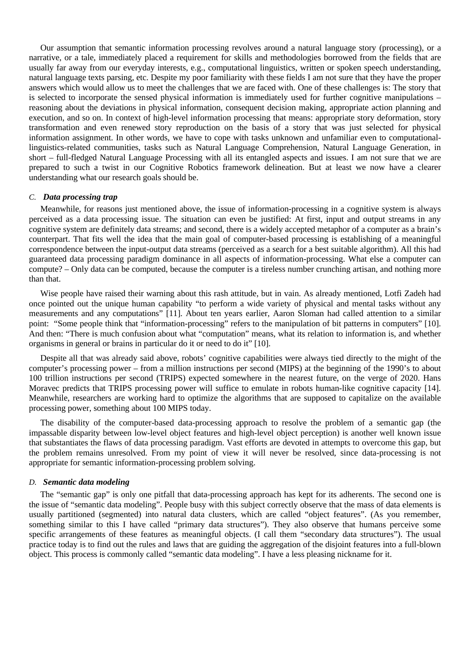Our assumption that semantic information processing revolves around a natural language story (processing), or a narrative, or a tale, immediately placed a requirement for skills and methodologies borrowed from the fields that are usually far away from our everyday interests, e.g., computational linguistics, written or spoken speech understanding, natural language texts parsing, etc. Despite my poor familiarity with these fields I am not sure that they have the proper answers which would allow us to meet the challenges that we are faced with. One of these challenges is: The story that is selected to incorporate the sensed physical information is immediately used for further cognitive manipulations – reasoning about the deviations in physical information, consequent decision making, appropriate action planning and execution, and so on. In context of high-level information processing that means: appropriate story deformation, story transformation and even renewed story reproduction on the basis of a story that was just selected for physical information assignment. In other words, we have to cope with tasks unknown and unfamiliar even to computationallinguistics-related communities, tasks such as Natural Language Comprehension, Natural Language Generation, in short – full-fledged Natural Language Processing with all its entangled aspects and issues. I am not sure that we are prepared to such a twist in our Cognitive Robotics framework delineation. But at least we now have a clearer understanding what our research goals should be.

## *C. Data processing trap*

Meanwhile, for reasons just mentioned above, the issue of information-processing in a cognitive system is always perceived as a data processing issue. The situation can even be justified: At first, input and output streams in any cognitive system are definitely data streams; and second, there is a widely accepted metaphor of a computer as a brain's counterpart. That fits well the idea that the main goal of computer-based processing is establishing of a meaningful correspondence between the input-output data streams (perceived as a search for a best suitable algorithm). All this had guaranteed data processing paradigm dominance in all aspects of information-processing. What else a computer can compute? – Only data can be computed, because the computer is a tireless number crunching artisan, and nothing more than that.

Wise people have raised their warning about this rash attitude, but in vain. As already mentioned, Lotfi Zadeh had once pointed out the unique human capability "to perform a wide variety of physical and mental tasks without any measurements and any computations" [11]. About ten years earlier, Aaron Sloman had called attention to a similar point: "Some people think that "information-processing" refers to the manipulation of bit patterns in computers" [10]. And then: "There is much confusion about what "computation" means, what its relation to information is, and whether organisms in general or brains in particular do it or need to do it" [10].

Despite all that was already said above, robots' cognitive capabilities were always tied directly to the might of the computer's processing power – from a million instructions per second (MIPS) at the beginning of the 1990's to about 100 trillion instructions per second (TRIPS) expected somewhere in the nearest future, on the verge of 2020. Hans Moravec predicts that TRIPS processing power will suffice to emulate in robots human-like cognitive capacity [14]. Meanwhile, researchers are working hard to optimize the algorithms that are supposed to capitalize on the available processing power, something about 100 MIPS today.

The disability of the computer-based data-processing approach to resolve the problem of a semantic gap (the impassable disparity between low-level object features and high-level object perception) is another well known issue that substantiates the flaws of data processing paradigm. Vast efforts are devoted in attempts to overcome this gap, but the problem remains unresolved. From my point of view it will never be resolved, since data-processing is not appropriate for semantic information-processing problem solving.

#### *D. Semantic data modeling*

The "semantic gap" is only one pitfall that data-processing approach has kept for its adherents. The second one is the issue of "semantic data modeling". People busy with this subject correctly observe that the mass of data elements is usually partitioned (segmented) into natural data clusters, which are called "object features". (As you remember, something similar to this I have called "primary data structures"). They also observe that humans perceive some specific arrangements of these features as meaningful objects. (I call them "secondary data structures"). The usual practice today is to find out the rules and laws that are guiding the aggregation of the disjoint features into a full-blown object. This process is commonly called "semantic data modeling". I have a less pleasing nickname for it.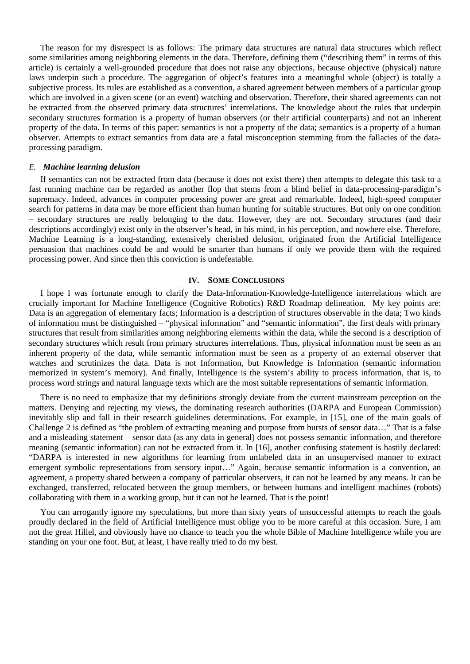The reason for my disrespect is as follows: The primary data structures are natural data structures which reflect some similarities among neighboring elements in the data. Therefore, defining them ("describing them" in terms of this article) is certainly a well-grounded procedure that does not raise any objections, because objective (physical) nature laws underpin such a procedure. The aggregation of object's features into a meaningful whole (object) is totally a subjective process. Its rules are established as a convention, a shared agreement between members of a particular group which are involved in a given scene (or an event) watching and observation. Therefore, their shared agreements can not be extracted from the observed primary data structures' interrelations. The knowledge about the rules that underpin secondary structures formation is a property of human observers (or their artificial counterparts) and not an inherent property of the data. In terms of this paper: semantics is not a property of the data; semantics is a property of a human observer. Attempts to extract semantics from data are a fatal misconception stemming from the fallacies of the dataprocessing paradigm.

## *E. Machine learning delusion*

If semantics can not be extracted from data (because it does not exist there) then attempts to delegate this task to a fast running machine can be regarded as another flop that stems from a blind belief in data-processing-paradigm's supremacy. Indeed, advances in computer processing power are great and remarkable. Indeed, high-speed computer search for patterns in data may be more efficient than human hunting for suitable structures. But only on one condition – secondary structures are really belonging to the data. However, they are not. Secondary structures (and their descriptions accordingly) exist only in the observer's head, in his mind, in his perception, and nowhere else. Therefore, Machine Learning is a long-standing, extensively cherished delusion, originated from the Artificial Intelligence persuasion that machines could be and would be smarter than humans if only we provide them with the required processing power. And since then this conviction is undefeatable.

# **IV. SOME CONCLUSIONS**

I hope I was fortunate enough to clarify the Data-Information-Knowledge-Intelligence interrelations which are crucially important for Machine Intelligence (Cognitive Robotics) R&D Roadmap delineation. My key points are: Data is an aggregation of elementary facts; Information is a description of structures observable in the data; Two kinds of information must be distinguished – "physical information" and "semantic information", the first deals with primary structures that result from similarities among neighboring elements within the data, while the second is a description of secondary structures which result from primary structures interrelations. Thus, physical information must be seen as an inherent property of the data, while semantic information must be seen as a property of an external observer that watches and scrutinizes the data. Data is not Information, but Knowledge is Information (semantic information memorized in system's memory). And finally, Intelligence is the system's ability to process information, that is, to process word strings and natural language texts which are the most suitable representations of semantic information.

There is no need to emphasize that my definitions strongly deviate from the current mainstream perception on the matters. Denying and rejecting my views, the dominating research authorities (DARPA and European Commission) inevitably slip and fall in their research guidelines determinations. For example, in [15], one of the main goals of Challenge 2 is defined as "the problem of extracting meaning and purpose from bursts of sensor data…" That is a false and a misleading statement – sensor data (as any data in general) does not possess semantic information, and therefore meaning (semantic information) can not be extracted from it. In [16], another confusing statement is hastily declared: "DARPA is interested in new algorithms for learning from unlabeled data in an unsupervised manner to extract emergent symbolic representations from sensory input…" Again, because semantic information is a convention, an agreement, a property shared between a company of particular observers, it can not be learned by any means. It can be exchanged, transferred, relocated between the group members, or between humans and intelligent machines (robots) collaborating with them in a working group, but it can not be learned. That is the point!

You can arrogantly ignore my speculations, but more than sixty years of unsuccessful attempts to reach the goals proudly declared in the field of Artificial Intelligence must oblige you to be more careful at this occasion. Sure, I am not the great Hillel, and obviously have no chance to teach you the whole Bible of Machine Intelligence while you are standing on your one foot. But, at least, I have really tried to do my best.